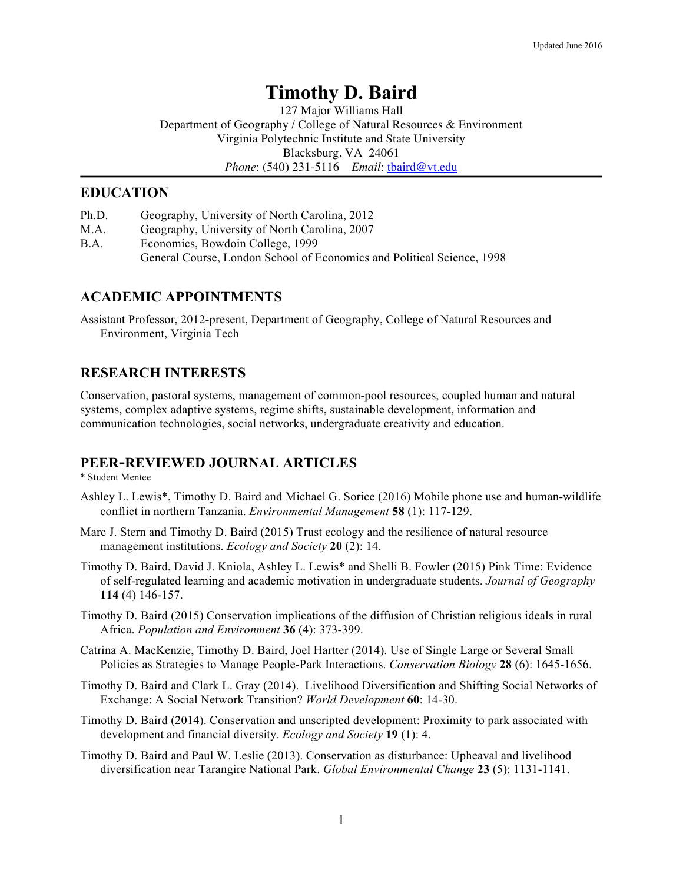# **Timothy D. Baird**

127 Major Williams Hall Department of Geography / College of Natural Resources & Environment Virginia Polytechnic Institute and State University Blacksburg, VA 24061 *Phone*: (540) 231-5116 *Email*: tbaird@vt.edu

### **EDUCATION**

- Ph.D. Geography, University of North Carolina, 2012
- M.A. Geography, University of North Carolina, 2007
- B.A. Economics, Bowdoin College, 1999

General Course, London School of Economics and Political Science, 1998

### **ACADEMIC APPOINTMENTS**

Assistant Professor, 2012-present, Department of Geography, College of Natural Resources and Environment, Virginia Tech

### **RESEARCH INTERESTS**

Conservation, pastoral systems, management of common-pool resources, coupled human and natural systems, complex adaptive systems, regime shifts, sustainable development, information and communication technologies, social networks, undergraduate creativity and education.

### **PEER-REVIEWED JOURNAL ARTICLES**

### \* Student Mentee

- Ashley L. Lewis\*, Timothy D. Baird and Michael G. Sorice (2016) Mobile phone use and human-wildlife conflict in northern Tanzania. *Environmental Management* **58** (1): 117-129.
- Marc J. Stern and Timothy D. Baird (2015) Trust ecology and the resilience of natural resource management institutions. *Ecology and Society* **20** (2): 14.
- Timothy D. Baird, David J. Kniola, Ashley L. Lewis\* and Shelli B. Fowler (2015) Pink Time: Evidence of self-regulated learning and academic motivation in undergraduate students. *Journal of Geography* **114** (4) 146-157.
- Timothy D. Baird (2015) Conservation implications of the diffusion of Christian religious ideals in rural Africa. *Population and Environment* **36** (4): 373-399.
- Catrina A. MacKenzie, Timothy D. Baird, Joel Hartter (2014). Use of Single Large or Several Small Policies as Strategies to Manage People-Park Interactions. *Conservation Biology* **28** (6): 1645-1656.
- Timothy D. Baird and Clark L. Gray (2014). Livelihood Diversification and Shifting Social Networks of Exchange: A Social Network Transition? *World Development* **60**: 14-30.
- Timothy D. Baird (2014). Conservation and unscripted development: Proximity to park associated with development and financial diversity. *Ecology and Society* **19** (1): 4.
- Timothy D. Baird and Paul W. Leslie (2013). Conservation as disturbance: Upheaval and livelihood diversification near Tarangire National Park. *Global Environmental Change* **23** (5): 1131-1141.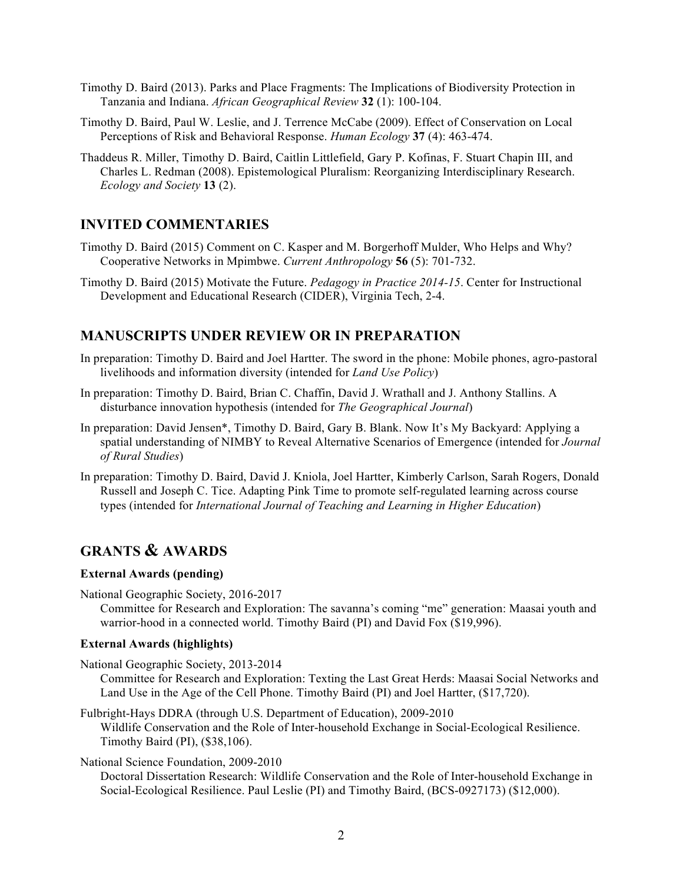- Timothy D. Baird (2013). Parks and Place Fragments: The Implications of Biodiversity Protection in Tanzania and Indiana. *African Geographical Review* **32** (1): 100-104.
- Timothy D. Baird, Paul W. Leslie, and J. Terrence McCabe (2009). Effect of Conservation on Local Perceptions of Risk and Behavioral Response. *Human Ecology* **37** (4): 463-474.
- Thaddeus R. Miller, Timothy D. Baird, Caitlin Littlefield, Gary P. Kofinas, F. Stuart Chapin III, and Charles L. Redman (2008). Epistemological Pluralism: Reorganizing Interdisciplinary Research. *Ecology and Society* **13** (2).

### **INVITED COMMENTARIES**

- Timothy D. Baird (2015) Comment on C. Kasper and M. Borgerhoff Mulder, Who Helps and Why? Cooperative Networks in Mpimbwe. *Current Anthropology* **56** (5): 701-732.
- Timothy D. Baird (2015) Motivate the Future. *Pedagogy in Practice 2014-15*. Center for Instructional Development and Educational Research (CIDER), Virginia Tech, 2-4.

### **MANUSCRIPTS UNDER REVIEW OR IN PREPARATION**

- In preparation: Timothy D. Baird and Joel Hartter. The sword in the phone: Mobile phones, agro-pastoral livelihoods and information diversity (intended for *Land Use Policy*)
- In preparation: Timothy D. Baird, Brian C. Chaffin, David J. Wrathall and J. Anthony Stallins. A disturbance innovation hypothesis (intended for *The Geographical Journal*)
- In preparation: David Jensen\*, Timothy D. Baird, Gary B. Blank. Now It's My Backyard: Applying a spatial understanding of NIMBY to Reveal Alternative Scenarios of Emergence (intended for *Journal of Rural Studies*)
- In preparation: Timothy D. Baird, David J. Kniola, Joel Hartter, Kimberly Carlson, Sarah Rogers, Donald Russell and Joseph C. Tice. Adapting Pink Time to promote self-regulated learning across course types (intended for *International Journal of Teaching and Learning in Higher Education*)

## **GRANTS & AWARDS**

### **External Awards (pending)**

National Geographic Society, 2016-2017 Committee for Research and Exploration: The savanna's coming "me" generation: Maasai youth and warrior-hood in a connected world. Timothy Baird (PI) and David Fox (\$19,996).

### **External Awards (highlights)**

- National Geographic Society, 2013-2014
	- Committee for Research and Exploration: Texting the Last Great Herds: Maasai Social Networks and Land Use in the Age of the Cell Phone. Timothy Baird (PI) and Joel Hartter, (\$17,720).
- Fulbright-Hays DDRA (through U.S. Department of Education), 2009-2010 Wildlife Conservation and the Role of Inter-household Exchange in Social-Ecological Resilience. Timothy Baird (PI), (\$38,106).

National Science Foundation, 2009-2010

Doctoral Dissertation Research: Wildlife Conservation and the Role of Inter-household Exchange in Social-Ecological Resilience. Paul Leslie (PI) and Timothy Baird, (BCS-0927173) (\$12,000).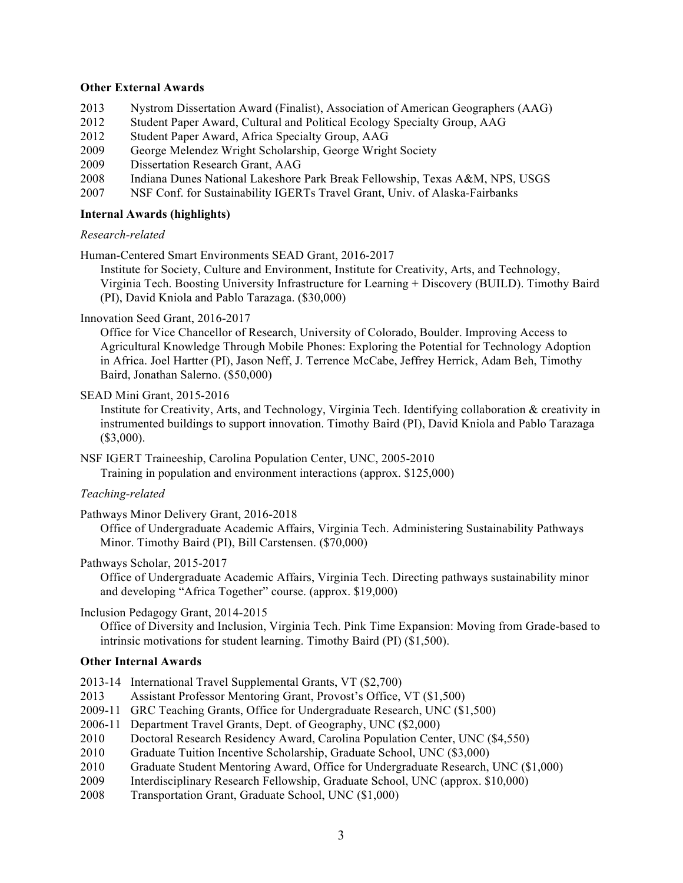#### **Other External Awards**

- 2013 Nystrom Dissertation Award (Finalist), Association of American Geographers (AAG)
- 2012 Student Paper Award, Cultural and Political Ecology Specialty Group, AAG
- 2012 Student Paper Award, Africa Specialty Group, AAG
- 2009 George Melendez Wright Scholarship, George Wright Society
- 2009 Dissertation Research Grant, AAG
- 2008 Indiana Dunes National Lakeshore Park Break Fellowship, Texas A&M, NPS, USGS
- 2007 NSF Conf. for Sustainability IGERTs Travel Grant, Univ. of Alaska-Fairbanks

#### **Internal Awards (highlights)**

### *Research-related*

Human-Centered Smart Environments SEAD Grant, 2016-2017

Institute for Society, Culture and Environment, Institute for Creativity, Arts, and Technology, Virginia Tech. Boosting University Infrastructure for Learning + Discovery (BUILD). Timothy Baird (PI), David Kniola and Pablo Tarazaga. (\$30,000)

### Innovation Seed Grant, 2016-2017

Office for Vice Chancellor of Research, University of Colorado, Boulder. Improving Access to Agricultural Knowledge Through Mobile Phones: Exploring the Potential for Technology Adoption in Africa. Joel Hartter (PI), Jason Neff, J. Terrence McCabe, Jeffrey Herrick, Adam Beh, Timothy Baird, Jonathan Salerno. (\$50,000)

#### SEAD Mini Grant, 2015-2016

Institute for Creativity, Arts, and Technology, Virginia Tech. Identifying collaboration & creativity in instrumented buildings to support innovation. Timothy Baird (PI), David Kniola and Pablo Tarazaga (\$3,000).

NSF IGERT Traineeship, Carolina Population Center, UNC, 2005-2010 Training in population and environment interactions (approx. \$125,000)

### *Teaching-related*

Pathways Minor Delivery Grant, 2016-2018

Office of Undergraduate Academic Affairs, Virginia Tech. Administering Sustainability Pathways Minor. Timothy Baird (PI), Bill Carstensen. (\$70,000)

#### Pathways Scholar, 2015-2017

Office of Undergraduate Academic Affairs, Virginia Tech. Directing pathways sustainability minor and developing "Africa Together" course. (approx. \$19,000)

### Inclusion Pedagogy Grant, 2014-2015

Office of Diversity and Inclusion, Virginia Tech. Pink Time Expansion: Moving from Grade-based to intrinsic motivations for student learning. Timothy Baird (PI) (\$1,500).

### **Other Internal Awards**

- 2013-14 International Travel Supplemental Grants, VT (\$2,700)
- 2013 Assistant Professor Mentoring Grant, Provost's Office, VT (\$1,500)
- 2009-11 GRC Teaching Grants, Office for Undergraduate Research, UNC (\$1,500)
- 2006-11 Department Travel Grants, Dept. of Geography, UNC (\$2,000)
- 2010 Doctoral Research Residency Award, Carolina Population Center, UNC (\$4,550)
- 2010 Graduate Tuition Incentive Scholarship, Graduate School, UNC (\$3,000)
- 2010 Graduate Student Mentoring Award, Office for Undergraduate Research, UNC (\$1,000)
- 2009 Interdisciplinary Research Fellowship, Graduate School, UNC (approx. \$10,000)
- 2008 Transportation Grant, Graduate School, UNC (\$1,000)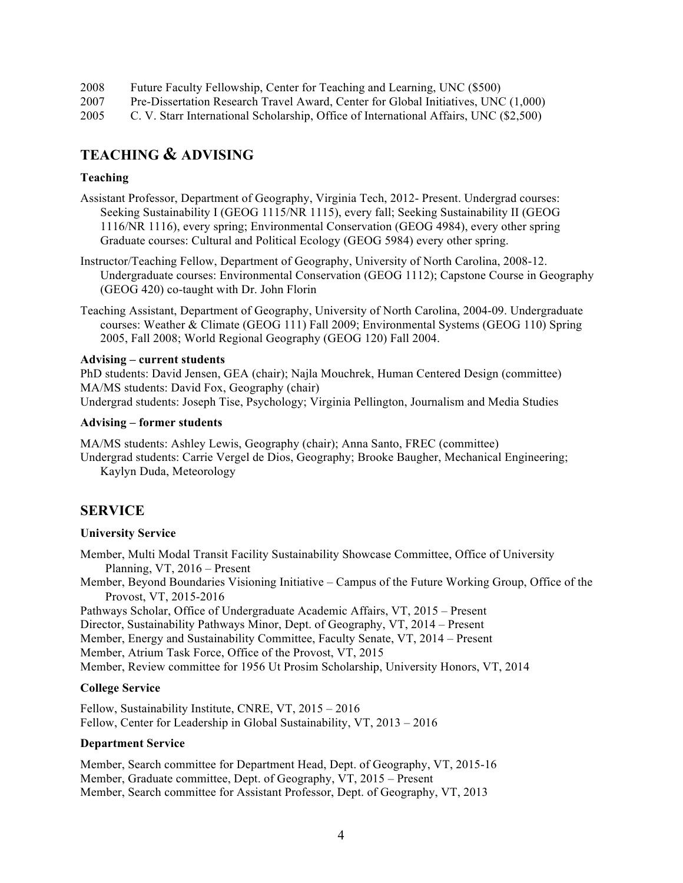| 2008 | Future Faculty Fellowship, Center for Teaching and Learning, UNC (\$500)           |
|------|------------------------------------------------------------------------------------|
| 2007 | Pre-Dissertation Research Travel Award, Center for Global Initiatives, UNC (1,000) |

2005 C. V. Starr International Scholarship, Office of International Affairs, UNC (\$2,500)

# **TEACHING & ADVISING**

### **Teaching**

- Assistant Professor, Department of Geography, Virginia Tech, 2012- Present. Undergrad courses: Seeking Sustainability I (GEOG 1115/NR 1115), every fall; Seeking Sustainability II (GEOG 1116/NR 1116), every spring; Environmental Conservation (GEOG 4984), every other spring Graduate courses: Cultural and Political Ecology (GEOG 5984) every other spring.
- Instructor/Teaching Fellow, Department of Geography, University of North Carolina, 2008-12. Undergraduate courses: Environmental Conservation (GEOG 1112); Capstone Course in Geography (GEOG 420) co-taught with Dr. John Florin
- Teaching Assistant, Department of Geography, University of North Carolina, 2004-09. Undergraduate courses: Weather & Climate (GEOG 111) Fall 2009; Environmental Systems (GEOG 110) Spring 2005, Fall 2008; World Regional Geography (GEOG 120) Fall 2004.

### **Advising – current students**

PhD students: David Jensen, GEA (chair); Najla Mouchrek, Human Centered Design (committee) MA/MS students: David Fox, Geography (chair)

Undergrad students: Joseph Tise, Psychology; Virginia Pellington, Journalism and Media Studies

### **Advising – former students**

MA/MS students: Ashley Lewis, Geography (chair); Anna Santo, FREC (committee)

Undergrad students: Carrie Vergel de Dios, Geography; Brooke Baugher, Mechanical Engineering; Kaylyn Duda, Meteorology

### **SERVICE**

### **University Service**

Member, Multi Modal Transit Facility Sustainability Showcase Committee, Office of University Planning, VT, 2016 – Present

Member, Beyond Boundaries Visioning Initiative – Campus of the Future Working Group, Office of the Provost, VT, 2015-2016

Pathways Scholar, Office of Undergraduate Academic Affairs, VT, 2015 – Present

Director, Sustainability Pathways Minor, Dept. of Geography, VT, 2014 – Present

Member, Energy and Sustainability Committee, Faculty Senate, VT, 2014 – Present

Member, Atrium Task Force, Office of the Provost, VT, 2015

Member, Review committee for 1956 Ut Prosim Scholarship, University Honors, VT, 2014

### **College Service**

Fellow, Sustainability Institute, CNRE, VT, 2015 – 2016 Fellow, Center for Leadership in Global Sustainability, VT, 2013 – 2016

### **Department Service**

Member, Search committee for Department Head, Dept. of Geography, VT, 2015-16 Member, Graduate committee, Dept. of Geography, VT, 2015 – Present Member, Search committee for Assistant Professor, Dept. of Geography, VT, 2013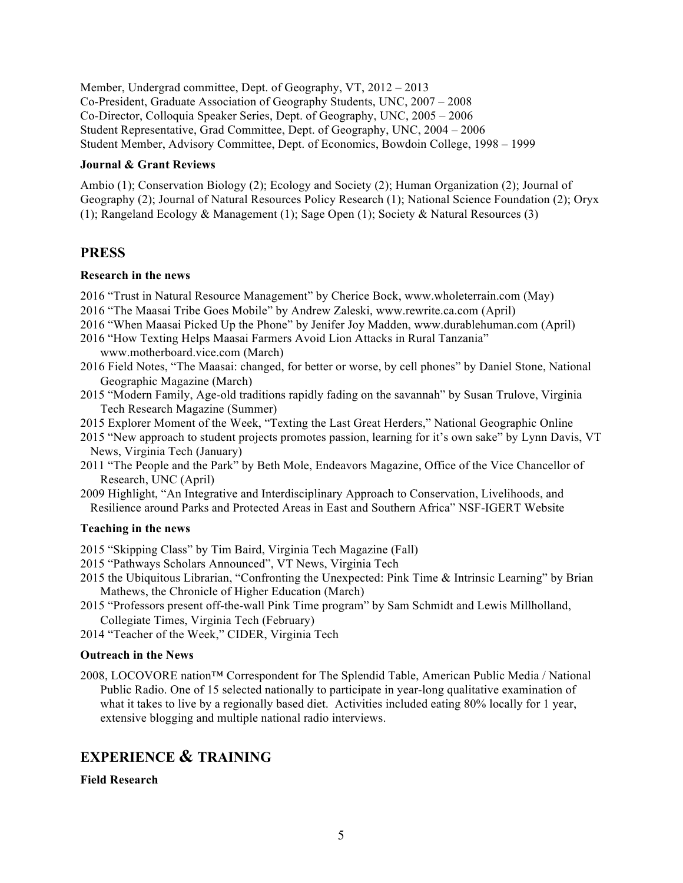Member, Undergrad committee, Dept. of Geography, VT, 2012 – 2013 Co-President, Graduate Association of Geography Students, UNC, 2007 – 2008 Co-Director, Colloquia Speaker Series, Dept. of Geography, UNC, 2005 – 2006 Student Representative, Grad Committee, Dept. of Geography, UNC, 2004 – 2006 Student Member, Advisory Committee, Dept. of Economics, Bowdoin College, 1998 – 1999

### **Journal & Grant Reviews**

Ambio (1); Conservation Biology (2); Ecology and Society (2); Human Organization (2); Journal of Geography (2); Journal of Natural Resources Policy Research (1); National Science Foundation (2); Oryx (1); Rangeland Ecology & Management (1); Sage Open (1); Society & Natural Resources (3)

### **PRESS**

### **Research in the news**

- 2016 "Trust in Natural Resource Management" by Cherice Bock, www.wholeterrain.com (May)
- 2016 "The Maasai Tribe Goes Mobile" by Andrew Zaleski, www.rewrite.ca.com (April)
- 2016 "When Maasai Picked Up the Phone" by Jenifer Joy Madden, www.durablehuman.com (April)
- 2016 "How Texting Helps Maasai Farmers Avoid Lion Attacks in Rural Tanzania" www.motherboard.vice.com (March)
- 2016 Field Notes, "The Maasai: changed, for better or worse, by cell phones" by Daniel Stone, National Geographic Magazine (March)
- 2015 "Modern Family, Age-old traditions rapidly fading on the savannah" by Susan Trulove, Virginia Tech Research Magazine (Summer)
- 2015 Explorer Moment of the Week, "Texting the Last Great Herders," National Geographic Online
- 2015 "New approach to student projects promotes passion, learning for it's own sake" by Lynn Davis, VT News, Virginia Tech (January)
- 2011 "The People and the Park" by Beth Mole, Endeavors Magazine, Office of the Vice Chancellor of Research, UNC (April)
- 2009 Highlight, "An Integrative and Interdisciplinary Approach to Conservation, Livelihoods, and Resilience around Parks and Protected Areas in East and Southern Africa" NSF-IGERT Website

### **Teaching in the news**

2015 "Skipping Class" by Tim Baird, Virginia Tech Magazine (Fall)

- 2015 "Pathways Scholars Announced", VT News, Virginia Tech
- 2015 the Ubiquitous Librarian, "Confronting the Unexpected: Pink Time & Intrinsic Learning" by Brian Mathews, the Chronicle of Higher Education (March)
- 2015 "Professors present off-the-wall Pink Time program" by Sam Schmidt and Lewis Millholland, Collegiate Times, Virginia Tech (February)
- 2014 "Teacher of the Week," CIDER, Virginia Tech

### **Outreach in the News**

2008, LOCOVORE nation™ Correspondent for The Splendid Table, American Public Media / National Public Radio. One of 15 selected nationally to participate in year-long qualitative examination of what it takes to live by a regionally based diet. Activities included eating 80% locally for 1 year, extensive blogging and multiple national radio interviews.

# **EXPERIENCE & TRAINING**

### **Field Research**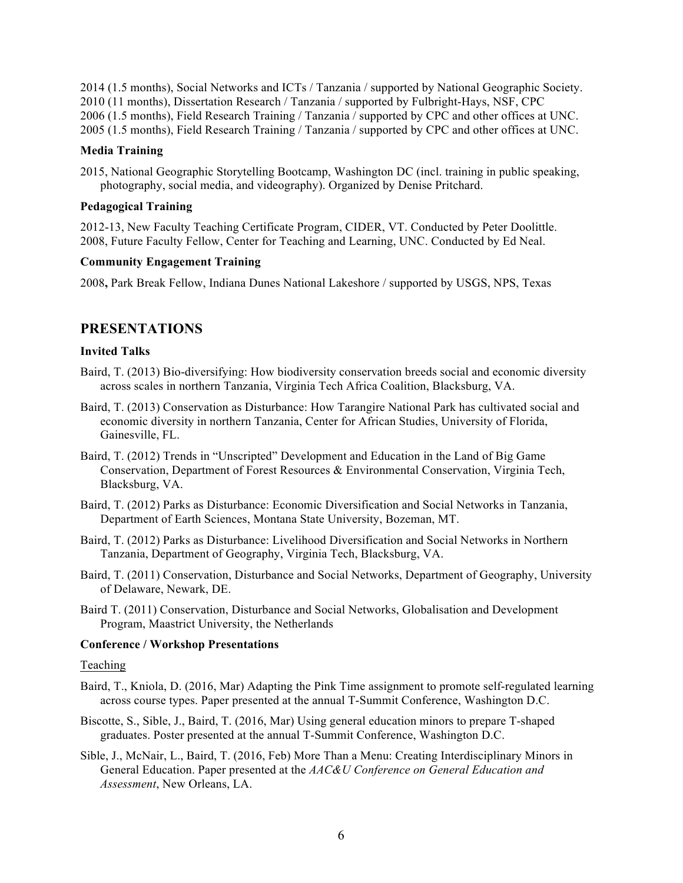2014 (1.5 months), Social Networks and ICTs / Tanzania / supported by National Geographic Society. 2010 (11 months), Dissertation Research / Tanzania / supported by Fulbright-Hays, NSF, CPC 2006 (1.5 months), Field Research Training / Tanzania / supported by CPC and other offices at UNC. 2005 (1.5 months), Field Research Training / Tanzania / supported by CPC and other offices at UNC.

### **Media Training**

2015, National Geographic Storytelling Bootcamp, Washington DC (incl. training in public speaking, photography, social media, and videography). Organized by Denise Pritchard.

### **Pedagogical Training**

2012-13, New Faculty Teaching Certificate Program, CIDER, VT. Conducted by Peter Doolittle. 2008, Future Faculty Fellow, Center for Teaching and Learning, UNC. Conducted by Ed Neal.

### **Community Engagement Training**

2008**,** Park Break Fellow, Indiana Dunes National Lakeshore / supported by USGS, NPS, Texas

### **PRESENTATIONS**

### **Invited Talks**

- Baird, T. (2013) Bio-diversifying: How biodiversity conservation breeds social and economic diversity across scales in northern Tanzania, Virginia Tech Africa Coalition, Blacksburg, VA.
- Baird, T. (2013) Conservation as Disturbance: How Tarangire National Park has cultivated social and economic diversity in northern Tanzania, Center for African Studies, University of Florida, Gainesville, FL.
- Baird, T. (2012) Trends in "Unscripted" Development and Education in the Land of Big Game Conservation, Department of Forest Resources & Environmental Conservation, Virginia Tech, Blacksburg, VA.
- Baird, T. (2012) Parks as Disturbance: Economic Diversification and Social Networks in Tanzania, Department of Earth Sciences, Montana State University, Bozeman, MT.
- Baird, T. (2012) Parks as Disturbance: Livelihood Diversification and Social Networks in Northern Tanzania, Department of Geography, Virginia Tech, Blacksburg, VA.
- Baird, T. (2011) Conservation, Disturbance and Social Networks, Department of Geography, University of Delaware, Newark, DE.
- Baird T. (2011) Conservation, Disturbance and Social Networks, Globalisation and Development Program, Maastrict University, the Netherlands

### **Conference / Workshop Presentations**

Teaching

- Baird, T., Kniola, D. (2016, Mar) Adapting the Pink Time assignment to promote self-regulated learning across course types. Paper presented at the annual T-Summit Conference, Washington D.C.
- Biscotte, S., Sible, J., Baird, T. (2016, Mar) Using general education minors to prepare T-shaped graduates. Poster presented at the annual T-Summit Conference, Washington D.C.
- Sible, J., McNair, L., Baird, T. (2016, Feb) More Than a Menu: Creating Interdisciplinary Minors in General Education. Paper presented at the *AAC&U Conference on General Education and Assessment*, New Orleans, LA.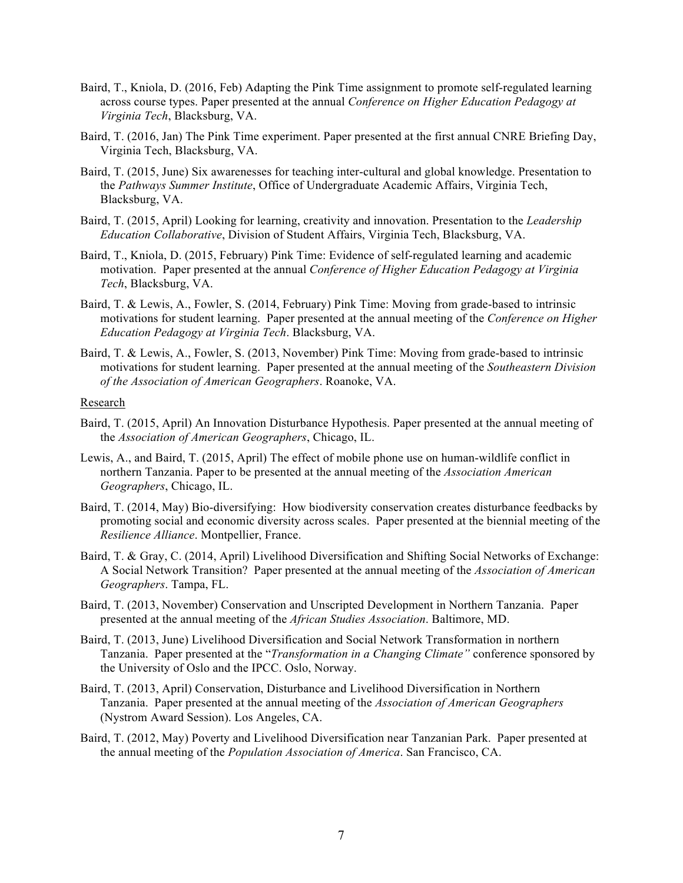- Baird, T., Kniola, D. (2016, Feb) Adapting the Pink Time assignment to promote self-regulated learning across course types. Paper presented at the annual *Conference on Higher Education Pedagogy at Virginia Tech*, Blacksburg, VA.
- Baird, T. (2016, Jan) The Pink Time experiment. Paper presented at the first annual CNRE Briefing Day, Virginia Tech, Blacksburg, VA.
- Baird, T. (2015, June) Six awarenesses for teaching inter-cultural and global knowledge. Presentation to the *Pathways Summer Institute*, Office of Undergraduate Academic Affairs, Virginia Tech, Blacksburg, VA.
- Baird, T. (2015, April) Looking for learning, creativity and innovation. Presentation to the *Leadership Education Collaborative*, Division of Student Affairs, Virginia Tech, Blacksburg, VA.
- Baird, T., Kniola, D. (2015, February) Pink Time: Evidence of self-regulated learning and academic motivation. Paper presented at the annual *Conference of Higher Education Pedagogy at Virginia Tech*, Blacksburg, VA.
- Baird, T. & Lewis, A., Fowler, S. (2014, February) Pink Time: Moving from grade-based to intrinsic motivations for student learning. Paper presented at the annual meeting of the *Conference on Higher Education Pedagogy at Virginia Tech*. Blacksburg, VA.
- Baird, T. & Lewis, A., Fowler, S. (2013, November) Pink Time: Moving from grade-based to intrinsic motivations for student learning. Paper presented at the annual meeting of the *Southeastern Division of the Association of American Geographers*. Roanoke, VA.

#### Research

- Baird, T. (2015, April) An Innovation Disturbance Hypothesis. Paper presented at the annual meeting of the *Association of American Geographers*, Chicago, IL.
- Lewis, A., and Baird, T. (2015, April) The effect of mobile phone use on human-wildlife conflict in northern Tanzania. Paper to be presented at the annual meeting of the *Association American Geographers*, Chicago, IL.
- Baird, T. (2014, May) Bio-diversifying: How biodiversity conservation creates disturbance feedbacks by promoting social and economic diversity across scales. Paper presented at the biennial meeting of the *Resilience Alliance*. Montpellier, France.
- Baird, T. & Gray, C. (2014, April) Livelihood Diversification and Shifting Social Networks of Exchange: A Social Network Transition? Paper presented at the annual meeting of the *Association of American Geographers*. Tampa, FL.
- Baird, T. (2013, November) Conservation and Unscripted Development in Northern Tanzania. Paper presented at the annual meeting of the *African Studies Association*. Baltimore, MD.
- Baird, T. (2013, June) Livelihood Diversification and Social Network Transformation in northern Tanzania. Paper presented at the "*Transformation in a Changing Climate"* conference sponsored by the University of Oslo and the IPCC. Oslo, Norway.
- Baird, T. (2013, April) Conservation, Disturbance and Livelihood Diversification in Northern Tanzania. Paper presented at the annual meeting of the *Association of American Geographers*  (Nystrom Award Session). Los Angeles, CA.
- Baird, T. (2012, May) Poverty and Livelihood Diversification near Tanzanian Park. Paper presented at the annual meeting of the *Population Association of America*. San Francisco, CA.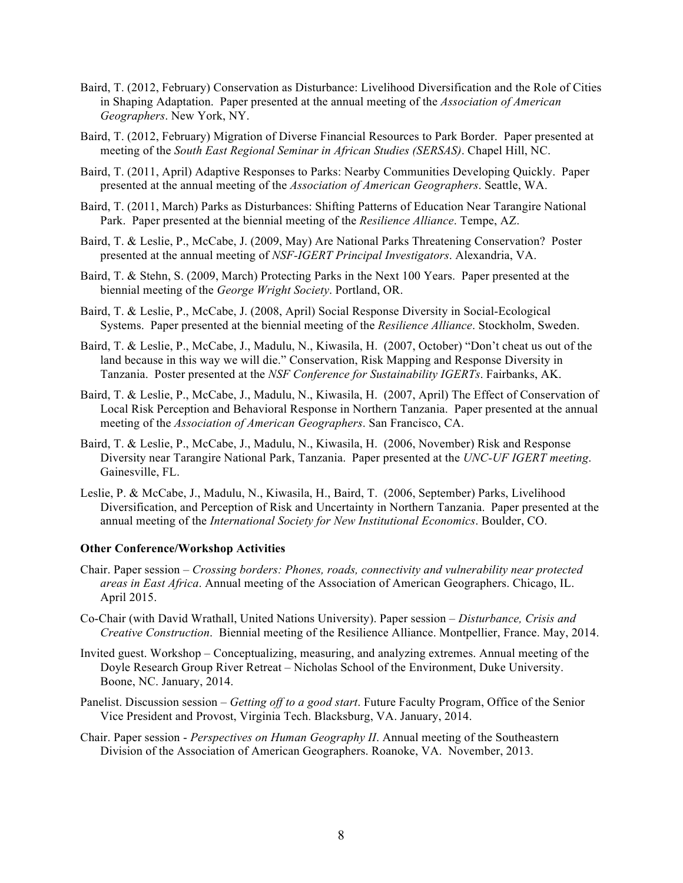- Baird, T. (2012, February) Conservation as Disturbance: Livelihood Diversification and the Role of Cities in Shaping Adaptation. Paper presented at the annual meeting of the *Association of American Geographers*. New York, NY.
- Baird, T. (2012, February) Migration of Diverse Financial Resources to Park Border. Paper presented at meeting of the *South East Regional Seminar in African Studies (SERSAS)*. Chapel Hill, NC.
- Baird, T. (2011, April) Adaptive Responses to Parks: Nearby Communities Developing Quickly. Paper presented at the annual meeting of the *Association of American Geographers*. Seattle, WA.
- Baird, T. (2011, March) Parks as Disturbances: Shifting Patterns of Education Near Tarangire National Park. Paper presented at the biennial meeting of the *Resilience Alliance*. Tempe, AZ.
- Baird, T. & Leslie, P., McCabe, J. (2009, May) Are National Parks Threatening Conservation? Poster presented at the annual meeting of *NSF-IGERT Principal Investigators*. Alexandria, VA.
- Baird, T. & Stehn, S. (2009, March) Protecting Parks in the Next 100 Years. Paper presented at the biennial meeting of the *George Wright Society*. Portland, OR.
- Baird, T. & Leslie, P., McCabe, J. (2008, April) Social Response Diversity in Social-Ecological Systems. Paper presented at the biennial meeting of the *Resilience Alliance*. Stockholm, Sweden.
- Baird, T. & Leslie, P., McCabe, J., Madulu, N., Kiwasila, H. (2007, October) "Don't cheat us out of the land because in this way we will die." Conservation, Risk Mapping and Response Diversity in Tanzania. Poster presented at the *NSF Conference for Sustainability IGERTs*. Fairbanks, AK.
- Baird, T. & Leslie, P., McCabe, J., Madulu, N., Kiwasila, H. (2007, April) The Effect of Conservation of Local Risk Perception and Behavioral Response in Northern Tanzania. Paper presented at the annual meeting of the *Association of American Geographers*. San Francisco, CA.
- Baird, T. & Leslie, P., McCabe, J., Madulu, N., Kiwasila, H. (2006, November) Risk and Response Diversity near Tarangire National Park, Tanzania. Paper presented at the *UNC-UF IGERT meeting*. Gainesville, FL.
- Leslie, P. & McCabe, J., Madulu, N., Kiwasila, H., Baird, T. (2006, September) Parks, Livelihood Diversification, and Perception of Risk and Uncertainty in Northern Tanzania. Paper presented at the annual meeting of the *International Society for New Institutional Economics*. Boulder, CO.

### **Other Conference/Workshop Activities**

- Chair. Paper session *Crossing borders: Phones, roads, connectivity and vulnerability near protected areas in East Africa*. Annual meeting of the Association of American Geographers. Chicago, IL. April 2015.
- Co-Chair (with David Wrathall, United Nations University). Paper session *Disturbance, Crisis and Creative Construction*. Biennial meeting of the Resilience Alliance. Montpellier, France. May, 2014.
- Invited guest. Workshop Conceptualizing, measuring, and analyzing extremes. Annual meeting of the Doyle Research Group River Retreat – Nicholas School of the Environment, Duke University. Boone, NC. January, 2014.
- Panelist. Discussion session *Getting off to a good start*. Future Faculty Program, Office of the Senior Vice President and Provost, Virginia Tech. Blacksburg, VA. January, 2014.
- Chair. Paper session *Perspectives on Human Geography II*. Annual meeting of the Southeastern Division of the Association of American Geographers. Roanoke, VA. November, 2013.